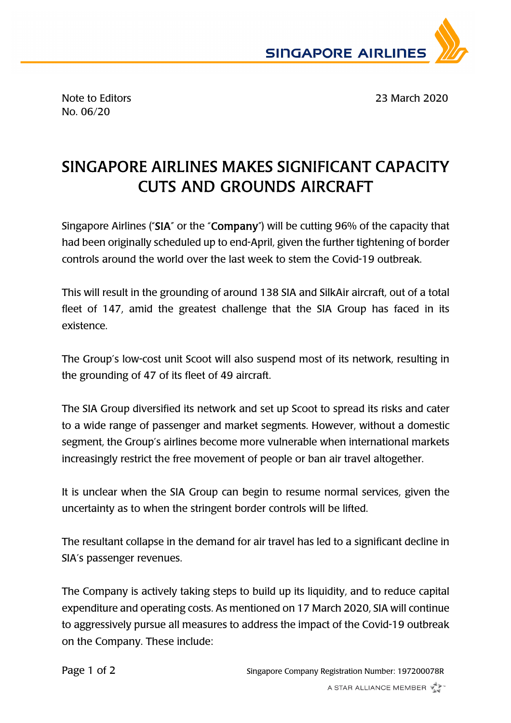

No. 06/20

Note to Editors 23 March 2020

## SINGAPORE AIRLINES MAKES SIGNIFICANT CAPACITY CUTS AND GROUNDS AIRCRAFT

Singapore Airlines ("SIA" or the "Company") will be cutting 96% of the capacity that had been originally scheduled up to end-April, given the further tightening of border controls around the world over the last week to stem the Covid-19 outbreak.

This will result in the grounding of around 138 SIA and SilkAir aircraft, out of a total fleet of 147, amid the greatest challenge that the SIA Group has faced in its existence.

The Group's low-cost unit Scoot will also suspend most of its network, resulting in the grounding of 47 of its fleet of 49 aircraft.

The SIA Group diversified its network and set up Scoot to spread its risks and cater to a wide range of passenger and market segments. However, without a domestic segment, the Group's airlines become more vulnerable when international markets increasingly restrict the free movement of people or ban air travel altogether.

It is unclear when the SIA Group can begin to resume normal services, given the uncertainty as to when the stringent border controls will be lifted.

The resultant collapse in the demand for air travel has led to a significant decline in SIA's passenger revenues.

The Company is actively taking steps to build up its liquidity, and to reduce capital expenditure and operating costs. As mentioned on 17 March 2020, SIA will continue to aggressively pursue all measures to address the impact of the Covid-19 outbreak on the Company. These include: